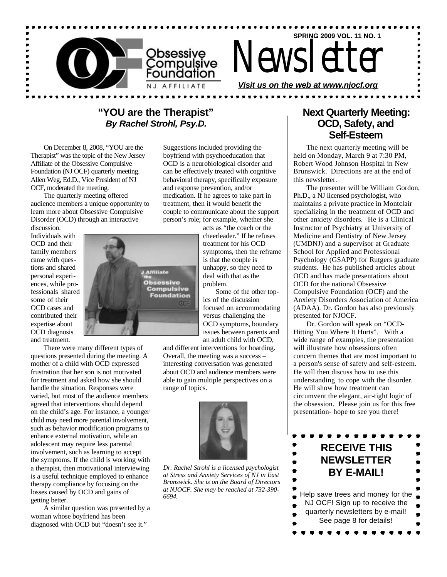

Newsletter

**SPRING 2009 VOL. 11 NO. 1**

*Visit us on the web at www.njocf.org*

## **"YOU are the Therapist"** *By Rachel Strohl, Psy.D.*

On December 8, 2008, "YOU are the Therapist" was the topic of the New Jersey Affiliate of the Obsessive Compulsive Foundation (NJ OCF) quarterly meeting. Allen Weg, Ed.D., Vice President of NJ OCF, moderated the meeting.

The quarterly meeting offered audience members a unique opportunity to learn more about Obsessive Compulsive Disorder (OCD) through an interactive

discussion. Individuals with OCD and their family members came with questions and shared personal experiences, while professionals shared some of their OCD cases and contributed their expertise about OCD diagnosis and treatment.

There were many different types of questions presented during the meeting. A mother of a child with OCD expressed frustration that her son is not motivated for treatment and asked how she should handle the situation. Responses were varied, but most of the audience members agreed that interventions should depend on the child's age. For instance, a younger child may need more parental involvement, such as behavior modification programs to enhance external motivation, while an adolescent may require less parental involvement, such as learning to accept the symptoms. If the child is working with a therapist, then motivational interviewing is a useful technique employed to enhance therapy compliance by focusing on the losses caused by OCD and gains of getting better.

A similar question was presented by a woman whose boyfriend has been diagnosed with OCD but "doesn't see it."

Suggestions included providing the boyfriend with psychoeducation that OCD is a neurobiological disorder and can be effectively treated with cognitive behavioral therapy, specifically exposure and response prevention, and/or medication. If he agrees to take part in treatment, then it would benefit the couple to communicate about the support person's role; for example, whether she

acts as "the coach or the cheerleader." If he refuses treatment for his OCD symptoms, then the reframe is that the couple is unhappy, so they need to deal with that as the problem.

Some of the other topics of the discussion focused on accommodating versus challenging the OCD symptoms, boundary issues between parents and an adult child with OCD,

and different interventions for hoarding. Overall, the meeting was a success – interesting conversation was generated about OCD and audience members were able to gain multiple perspectives on a range of topics.



*Dr. Rachel Strohl is a licensed psychologist at Stress and Anxiety Services of NJ in East Brunswick. She is on the Board of Directors at NJOCF. She may be reached at 732-390- 6694.*

## **Next Quarterly Meeting: OCD, Safety, and Self-Esteem**

The next quarterly meeting will be held on Monday, March 9 at 7:30 PM, Robert Wood Johnson Hospital in New Brunswick. Directions are at the end of this newsletter.

The presenter will be William Gordon, Ph.D., a  $\overline{N}$ J licensed psychologist, who maintains a private practice in Montclair specializing in the treatment of OCD and other anxiety disorders. He is a Clinical Instructor of Psychiatry at University of Medicine and Dentistry of New Jersey (UMDNJ) and a supervisor at Graduate School for Applied and Professional Psychology (GSAPP) for Rutgers graduate students. He has published articles about OCD and has made presentations about OCD for the national Obsessive Compulsive Foundation (OCF) and the Anxiety Disorders Association of America (ADAA). Dr. Gordon has also previously presented for NJOCF.

Dr. Gordon will speak on "OCD-Hitting You Where It Hurts". With a wide range of examples, the presentation will illustrate how obsessions often concern themes that are most important to a person's sense of safety and self-esteem. He will then discuss how to use this understanding to cope with the disorder. He will show how treatment can circumvent the elegant, air-tight logic of the obsession. Please join us for this free presentation- hope to see you there!



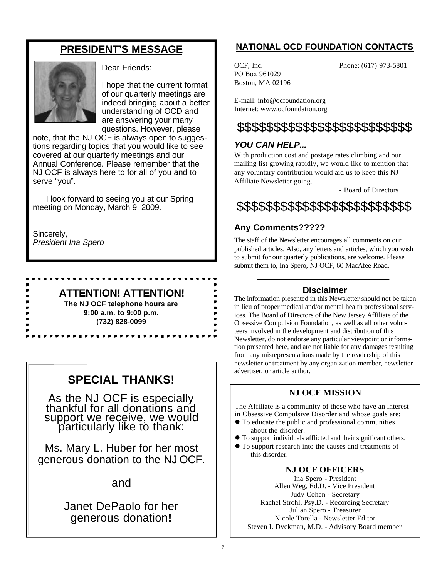# **PRESIDENT'S MESSAGE**



Dear Friends:

I hope that the current format of our quarterly meetings are indeed bringing about a better understanding of OCD and are answering your many questions. However, please

note, that the NJ OCF is always open to suggestions regarding topics that you would like to see covered at our quarterly meetings and our Annual Conference. Please remember that the NJ OCF is always here to for all of you and to serve "you".

I look forward to seeing you at our Spring meeting on Monday, March 9, 2009.

Sincerely, *President Ina Spero*

### **ATTENTION! ATTENTION!**

**PEPPPPPE** 

**The NJ OCF telephone hours are 9:00 a.m. to 9:00 p.m. (732) 828-0099**

------------

# **SPECIAL THANKS!**

As the NJ OCF is especially thankful for all donations and support we receive, we would particularly like to thank:

Ms. Mary L. Huber for her most generous donation to the NJ OCF.

and

# Janet DePaolo for her generous donation**!**

# **NATIONAL OCD FOUNDATION CONTACTS**

PO Box 961029 Boston, MA 02196

OCF, Inc. Phone: (617) 973-5801

E-mail: info@ocfoundation.org Internet: www.ocfoundation.org

# \$\$\$\$\$\$\$\$\$\$\$\$\$\$\$\$\$\$\$\$\$\$\$\$

## *YOU CAN HELP...*

With production cost and postage rates climbing and our mailing list growing rapidly, we would like to mention that any voluntary contribution would aid us to keep this NJ Affiliate Newsletter going.

- Board of Directors

# \$\$\$\$\$\$\$\$\$\$\$\$\$\$\$\$\$\$\$\$\$\$\$\$

# **Any Comments?????**

The staff of the Newsletter encourages all comments on our published articles. Also, any letters and articles, which you wish to submit for our quarterly publications, are welcome. Please submit them to, Ina Spero, NJ OCF, 60 MacAfee Road,

### **Disclaimer**

The information presented in this Newsletter should not be taken in lieu of proper medical and/or mental health professional services. The Board of Directors of the New Jersey Affiliate of the Obsessive Compulsion Foundation, as well as all other volunteers involved in the development and distribution of this Newsletter, do not endorse any particular viewpoint or information presented here, and are not liable for any damages resulting from any misrepresentations made by the readership of this newsletter or treatment by any organization member, newsletter advertiser, or article author.

## **NJ OCF MISSION**

The Affiliate is a community of those who have an interest in Obsessive Compulsive Disorder and whose goals are:

- $\bullet$  To educate the public and professional communities about the disorder.
- l To support individuals afflicted and their significant others.
- $\bullet$  To support research into the causes and treatments of this disorder.

### **NJ OCF OFFICERS**

Ina Spero - President Allen Weg, Ed.D. - Vice President Judy Cohen - Secretary Rachel Strohl, Psy.D. - Recording Secretary Julian Spero - Treasurer Nicole Torella - Newsletter Editor Steven I. Dyckman, M.D. - Advisory Board member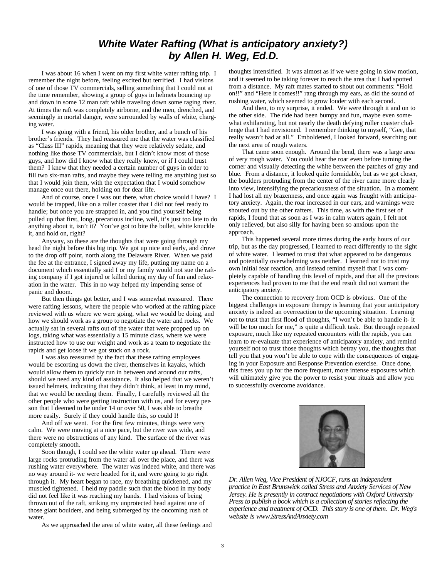## *White Water Rafting (What is anticipatory anxiety?) by Allen H. Weg, Ed.D.*

I was about 16 when I went on my first white water rafting trip. I remember the night before, feeling excited but terrified. I had visions of one of those TV commercials, selling something that I could not at the time remember, showing a group of guys in helmets bouncing up and down in some 12 man raft while traveling down some raging river. At times the raft was completely airborne, and the men, drenched, and seemingly in mortal danger, were surrounded by walls of white, charging water.

I was going with a friend, his older brother, and a bunch of his brother's friends. They had reassured me that the water was classified as "Class III" rapids, meaning that they were relatively sedate, and nothing like those TV commercials, but I didn't know most of those guys, and how did I know what they really knew, or if I could trust them? I knew that they needed a certain number of guys in order to fill two six-man rafts, and maybe they were telling me anything just so that I would join them, with the expectation that I would somehow manage once out there, holding on for dear life.

And of course, once I was out there, what choice would I have? I would be trapped, like on a roller coaster that I did not feel ready to handle; but once you are strapped in, and you find yourself being pulled up that first, long, precarious incline, well, it's just too late to do anything about it, isn't it? You've got to bite the bullet, white knuckle it, and hold on, right?

Anyway, so these are the thoughts that were going through my head the night before this big trip. We got up nice and early, and drove to the drop off point, north along the Delaware River. When we paid the fee at the entrance, I signed away my life, putting my name on a document which essentially said I or my family would not sue the rafting company if I got injured or killed during my day of fun and relaxation in the water. This in no way helped my impending sense of panic and doom.

But then things got better, and I was somewhat reassured. There were rafting lessons, where the people who worked at the rafting place reviewed with us where we were going, what we would be doing, and how we should work as a group to negotiate the water and rocks. We actually sat in several rafts out of the water that were propped up on logs, taking what was essentially a 15 minute class, where we were instructed how to use our weight and work as a team to negotiate the rapids and get loose if we got stuck on a rock.

I was also reassured by the fact that these rafting employees would be escorting us down the river, themselves in kayaks, which would allow them to quickly run in between and around our rafts, should we need any kind of assistance. It also helped that we weren't issued helmets, indicating that they didn't think, at least in my mind, that we would be needing them. Finally, I carefully reviewed all the other people who were getting instruction with us, and for every person that I deemed to be under 14 or over 50, I was able to breathe more easily. Surely if they could handle this, so could I!

And off we went. For the first few minutes, things were very calm. We were moving at a nice pace, but the river was wide, and there were no obstructions of any kind. The surface of the river was completely smooth.

Soon though, I could see the white water up ahead. There were large rocks protruding from the water all over the place, and there was rushing water everywhere. The water was indeed white, and there was no way around it- we were headed for it, and were going to go right through it. My heart began to race, my breathing quickened, and my muscled tightened. I held my paddle such that the blood in my body did not feel like it was reaching my hands. I had visions of being thrown out of the raft, striking my unprotected head against one of those giant boulders, and being submerged by the oncoming rush of water.

As we approached the area of white water, all these feelings and

thoughts intensified. It was almost as if we were going in slow motion, and it seemed to be taking forever to reach the area that I had spotted from a distance. My raft mates started to shout out comments: "Hold on!!" and "Here it comes!!" rang through my ears, as did the sound of rushing water, which seemed to grow louder with each second.

And then, to my surprise, it ended. We were through it and on to the other side. The ride had been bumpy and fun, maybe even somewhat exhilarating, but not nearly the death defying roller coaster challenge that I had envisioned. I remember thinking to myself, "Gee, that really wasn't bad at all." Emboldened, I looked forward, searching out the next area of rough waters.

That came soon enough. Around the bend, there was a large area of very rough water. You could hear the roar even before turning the corner and visually detecting the white between the patches of gray and blue. From a distance, it looked quite formidable, but as we got closer, the boulders protruding from the center of the river came more clearly into view, intensifying the precariousness of the situation. In a moment I had lost all my brazenness, and once again was fraught with anticipatory anxiety. Again, the roar increased in our ears, and warnings were shouted out by the other rafters. This time, as with the first set of rapids, I found that as soon as I was in calm waters again, I felt not only relieved, but also silly for having been so anxious upon the approach.

This happened several more times during the early hours of our trip, but as the day progressed, I learned to react differently to the sight of white water. I learned to trust that what appeared to be dangerous and potentially overwhelming was neither. I learned not to trust my own initial fear reaction, and instead remind myself that I was completely capable of handling this level of rapids, and that all the previous experiences had proven to me that the end result did not warrant the anticipatory anxiety.

The connection to recovery from OCD is obvious. One of the biggest challenges in exposure therapy is learning that your anticipatory anxiety is indeed an overreaction to the upcoming situation. Learning not to trust that first flood of thoughts, "I won't be able to handle it- it will be too much for me," is quite a difficult task. But through repeated exposure, much like my repeated encounters with the rapids, you can learn to re-evaluate that experience of anticipatory anxiety, and remind yourself not to trust those thoughts which betray you, the thoughts that tell you that you won't be able to cope with the consequences of engaging in your Exposure and Response Prevention exercise. Once done, this frees you up for the more frequent, more intense exposures which will ultimately give you the power to resist your rituals and allow you to successfully overcome avoidance.



*Dr. Allen Weg, Vice President of NJOCF, runs an independent practice in East Brunswick called Stress and Anxiety Services of New Jersey. He is presently in contract negotiations with Oxford University Press to publish a book which is a collection of stories reflecting the experience and treatment of OCD. This story is one of them. Dr. Weg's website is www.StressAndAnxiety.com*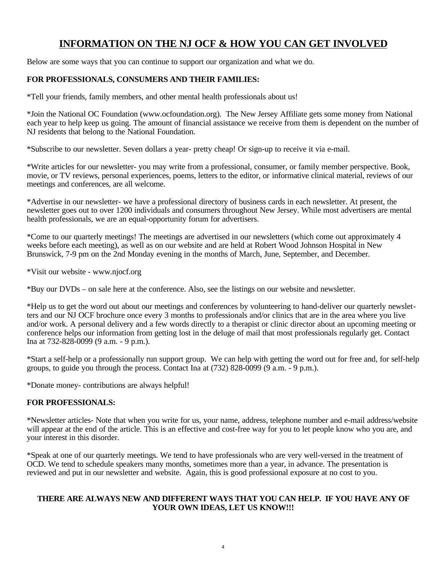# **INFORMATION ON THE NJ OCF & HOW YOU CAN GET INVOLVED**

Below are some ways that you can continue to support our organization and what we do.

#### **FOR PROFESSIONALS, CONSUMERS AND THEIR FAMILIES:**

\*Tell your friends, family members, and other mental health professionals about us!

\*Join the National OC Foundation (www.ocfoundation.org). The New Jersey Affiliate gets some money from National each year to help keep us going. The amount of financial assistance we receive from them is dependent on the number of NJ residents that belong to the National Foundation.

\*Subscribe to our newsletter. Seven dollars a year- pretty cheap! Or sign-up to receive it via e-mail.

\*Write articles for our newsletter- you may write from a professional, consumer, or family member perspective. Book, movie, or TV reviews, personal experiences, poems, letters to the editor, or informative clinical material, reviews of our meetings and conferences, are all welcome.

\*Advertise in our newsletter- we have a professional directory of business cards in each newsletter. At present, the newsletter goes out to over 1200 individuals and consumers throughout New Jersey. While most advertisers are mental health professionals, we are an equal-opportunity forum for advertisers.

\*Come to our quarterly meetings! The meetings are advertised in our newsletters (which come out approximately 4 weeks before each meeting), as well as on our website and are held at Robert Wood Johnson Hospital in New Brunswick, 7-9 pm on the 2nd Monday evening in the months of March, June, September, and December.

\*Visit our website - www.njocf.org

\*Buy our DVDs – on sale here at the conference. Also, see the listings on our website and newsletter.

\*Help us to get the word out about our meetings and conferences by volunteering to hand-deliver our quarterly newsletters and our NJ OCF brochure once every 3 months to professionals and/or clinics that are in the area where you live and/or work. A personal delivery and a few words directly to a therapist or clinic director about an upcoming meeting or conference helps our information from getting lost in the deluge of mail that most professionals regularly get. Contact Ina at 732-828-0099 (9 a.m. - 9 p.m.).

\*Start a self-help or a professionally run support group. We can help with getting the word out for free and, for self-help groups, to guide you through the process. Contact Ina at (732) 828-0099 (9 a.m. - 9 p.m.).

\*Donate money- contributions are always helpful!

### **FOR PROFESSIONALS:**

\*Newsletter articles- Note that when you write for us, your name, address, telephone number and e-mail address/website will appear at the end of the article. This is an effective and cost-free way for you to let people know who you are, and your interest in this disorder.

\*Speak at one of our quarterly meetings. We tend to have professionals who are very well-versed in the treatment of OCD. We tend to schedule speakers many months, sometimes more than a year, in advance. The presentation is reviewed and put in our newsletter and website. Again, this is good professional exposure at no cost to you.

#### **THERE ARE ALWAYS NEW AND DIFFERENT WAYS THAT YOU CAN HELP. IF YOU HAVE ANY OF YOUR OWN IDEAS, LET US KNOW!!!**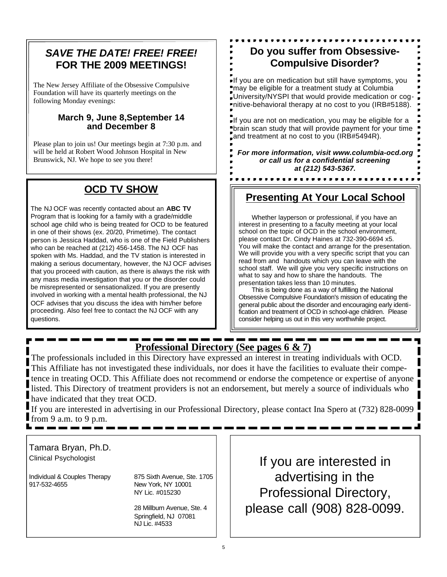# *SAVE THE DATE! FREE! FREE!* **FOR THE 2009 MEETINGS!**

The New Jersey Affiliate of the Obsessive Compulsive Foundation will have its quarterly meetings on the following Monday evenings:

### **March 9, June 8,September 14 and December 8**

Please plan to join us! Our meetings begin at 7:30 p.m. and will be held at Robert Wood Johnson Hospital in New Brunswick, NJ. We hope to see you there!

# **OCD TV SHOW**

The NJ OCF was recently contacted about an **ABC TV** Program that is looking for a family with a grade/middle school age child who is being treated for OCD to be featured in one of their shows (ex. 20/20, Primetime). The contact person is Jessica Haddad, who is one of the Field Publishers who can be reached at (212) 456-1458. The NJ OCF has spoken with Ms. Haddad, and the TV station is interested in making a serious documentary, however, the NJ OCF advises that you proceed with caution, as there is always the risk with any mass media investigation that you or the disorder could be misrepresented or sensationalized. If you are presently involved in working with a mental health professional, the NJ OCF advises that you discuss the idea with him/her before proceeding. Also feel free to contact the NJ OCF with any questions.

# **Do you suffer from Obsessive-Compulsive Disorder?**

If you are on medication but still have symptoms, you may be eligible for a treatment study at Columbia University/NYSPI that would provide medication or cognitive-behavioral therapy at no cost to you (IRB#5188).

If you are not on medication, you may be eligible for a brain scan study that will provide payment for your time and treatment at no cost to you (IRB#5494R).

*For more information, visit www.columbia-ocd.org or call us for a confidential screening at (212) 543-5367.*

# **Presenting At Your Local School**

Whether layperson or professional, if you have an interest in presenting to a faculty meeting at your local school on the topic of OCD in the school environment, please contact Dr. Cindy Haines at 732-390-6694 x5. You will make the contact and arrange for the presentation. We will provide you with a very specific script that you can read from and handouts which you can leave with the school staff. We will give you very specific instructions on what to say and how to share the handouts. The presentation takes less than 10 minutes.

This is being done as a way of fulfilling the National Obsessive Compulsive Foundation's mission of educating the general public about the disorder and encouraging early identification and treatment of OCD in school-age children. Please consider helping us out in this very worthwhile project.

# **Professional Directory (See pages 6 & 7)**

The professionals included in this Directory have expressed an interest in treating individuals with OCD. This Affiliate has not investigated these individuals, nor does it have the facilities to evaluate their competence in treating OCD. This Affiliate does not recommend or endorse the competence or expertise of anyone listed. This Directory of treatment providers is not an endorsement, but merely a source of individuals who have indicated that they treat OCD.

If you are interested in advertising in our Professional Directory, please contact Ina Spero at (732) 828-0099 from 9 a.m. to 9 p.m.

Tamara Bryan, Ph.D. Clinical Psychologist

Individual & Couples Therapy 875 Sixth Avenue, Ste. 1705 917-532-4655 New York, NY 10001

NY Lic. #015230

28 Millburn Avenue, Ste. 4 Springfield, NJ 07081 NJ Lic. #4533

If you are interested in advertising in the Professional Directory, please call (908) 828-0099.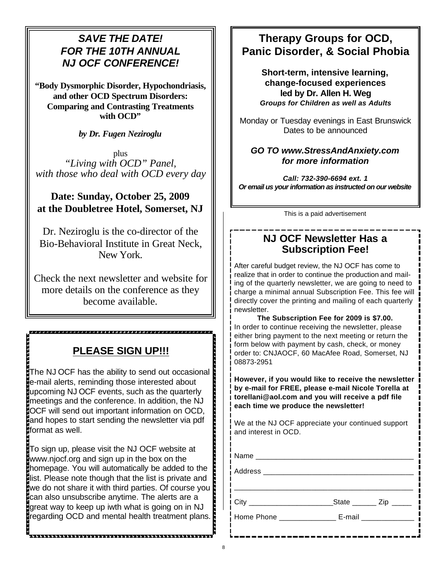# *SAVE THE DATE! FOR THE 10TH ANNUAL NJ OCF CONFERENCE!*

**"Body Dysmorphic Disorder, Hypochondriasis, and other OCD Spectrum Disorders: Comparing and Contrasting Treatments with OCD"**

*by Dr. Fugen Neziroglu*

plus *"Living with OCD" Panel, with those who deal with OCD every day*

## **Date: Sunday, October 25, 2009 at the Doubletree Hotel, Somerset, NJ**

Dr. Neziroglu is the co-director of the Bio-Behavioral Institute in Great Neck, New York.

Check the next newsletter and website for more details on the conference as they become available.

# **PLEASE SIGN UP!!!**

The NJ OCF has the ability to send out occasional e-mail alerts, reminding those interested about upcoming NJ OCF events, such as the quarterly meetings and the conference. In addition, the NJ OCF will send out important information on OCD, and hopes to start sending the newsletter via pdf format as well.

To sign up, please visit the NJ OCF website at www.njocf.org and sign up in the box on the homepage. You will automatically be added to the list. Please note though that the list is private and we do not share it with third parties. Of course you can also unsubscribe anytime. The alerts are a great way to keep up iwth what is going on in NJ regarding OCD and mental health treatment plans.

a bababa da bababa da bababa da bababa da bababa da bababa da bababa da bababa da bababa da bababa da bababa d

# **Therapy Groups for OCD, Panic Disorder, & Social Phobia**

**Short-term, intensive learning, change-focused experiences led by Dr. Allen H. Weg** *Groups for Children as well as Adults*

Monday or Tuesday evenings in East Brunswick Dates to be announced

### *GO TO www.StressAndAnxiety.com for more information*

*Call: 732-390-6694 ext. 1 Or email us your information as instructed on our website*

This is a paid advertisement

# **NJ OCF Newsletter Has a Subscription Fee!**

After careful budget review, the NJ OCF has come to realize that in order to continue the production and mailing of the quarterly newsletter, we are going to need to charge a minimal annual Subscription Fee. This fee will directly cover the printing and mailing of each quarterly newsletter.

**The Subscription Fee for 2009 is \$7.00.**  In order to continue receiving the newsletter, please either bring payment to the next meeting or return the form below with payment by cash, check, or money order to: CNJAOCF, 60 MacAfee Road, Somerset, NJ 08873-2951

**However, if you would like to receive the newsletter by e-mail for FREE, please e-mail Nicole Torella at torellani@aol.com and you will receive a pdf file each time we produce the newsletter!**

We at the NJ OCF appreciate your continued support and interest in OCD.

| Home Phone _______________ E-mail ______________ |  |
|--------------------------------------------------|--|
|                                                  |  |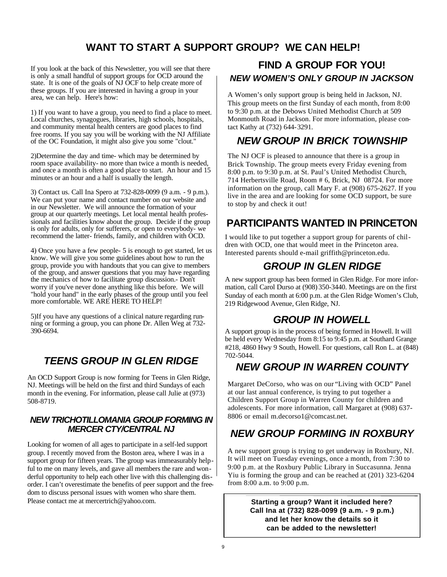# **WANT TO START A SUPPORT GROUP? WE CAN HELP!**

If you look at the back of this Newsletter, you will see that there is only a small handful of support groups for OCD around the state. It is one of the goals of NJ OCF to help create more of these groups. If you are interested in having a group in your area, we can help. Here's how:

1) If you want to have a group, you need to find a place to meet. Local churches, synagogues, libraries, high schools, hospitals, and community mental health centers are good places to find free rooms. If you say you will be working with the NJ Affiliate of the OC Foundation, it might also give you some "clout."

2)Determine the day and time- which may be determined by room space availability- no more than twice a month is needed, and once a month is often a good place to start. An hour and 15 minutes or an hour and a half is usually the length.

3) Contact us. Call Ina Spero at 732-828-0099 (9 a.m. - 9 p.m.). We can put your name and contact number on our website and in our Newsletter. We will announce the formation of your group at our quarterly meetings. Let local mental health professionals and facilities know about the group. Decide if the group is only for adults, only for sufferers, or open to everybody- we recommend the latter- friends, family, and children with OCD.

4) Once you have a few people- 5 is enough to get started, let us know. We will give you some guidelines about how to run the group, provide you with handouts that you can give to members of the group, and answer questions that you may have regarding the mechanics of how to facilitate group discussion.- Don't worry if you've never done anything like this before. We will "hold your hand" in the early phases of the group until you feel more comfortable. WE ARE HERE TO HELP!

5)If you have any questions of a clinical nature regarding running or forming a group, you can phone Dr. Allen Weg at 732- 390-6694.

# *TEENS GROUP IN GLEN RIDGE*

An OCD Support Group is now forming for Teens in Glen Ridge, NJ. Meetings will be held on the first and third Sundays of each month in the evening. For information, please call Julie at (973) 508-8719.

### *NEW TRICHOTILLOMANIA GROUP FORMING IN MERCER CTY/CENTRAL NJ*

Looking for women of all ages to participate in a self-led support group. I recently moved from the Boston area, where I was in a support group for fifteen years. The group was immeasurably helpful to me on many levels, and gave all members the rare and wonderful opportunity to help each other live with this challenging disorder. I can't overestimate the benefits of peer support and the freedom to discuss personal issues with women who share them. Please contact me at mercertrich@yahoo.com.

# *NEW WOMEN'S ONLY GROUP IN JACKSON* **FIND A GROUP FOR YOU!**

A Women's only support group is being held in Jackson, NJ. This group meets on the first Sunday of each month, from 8:00 to 9:30 p.m. at the Debows United Methodist Church at 509 Monmouth Road in Jackson. For more information, please contact Kathy at (732) 644-3291.

# *NEW GROUP IN BRICK TOWNSHIP*

The NJ OCF is pleased to announce that there is a group in Brick Township. The group meets every Friday evening from 8:00 p.m. to 9:30 p.m. at St. Paul's United Methodist Church, 714 Herbertsville Road, Room # 6, Brick, NJ 08724. For more information on the group, call Mary F. at (908) 675-2627. If you live in the area and are looking for some OCD support, be sure to stop by and check it out!

# **PARTICIPANTS WANTED IN PRINCETON**

I would like to put together a support group for parents of children with OCD, one that would meet in the Princeton area. Interested parents should e-mail griffith@princeton.edu.

# *GROUP IN GLEN RIDGE*

A new support group has been formed in Glen Ridge. For more information, call Carol Durso at (908) 350-3440. Meetings are on the first Sunday of each month at 6:00 p.m. at the Glen Ridge Women's Club, 219 Ridgewood Avenue, Glen Ridge, NJ.

## *GROUP IN HOWELL*

A support group is in the process of being formed in Howell. It will be held every Wednesday from 8:15 to 9:45 p.m. at Southard Grange #218, 4860 Hwy 9 South, Howell. For questions, call Ron L. at (848) 702-5044.

# *NEW GROUP IN WARREN COUNTY*

Margaret DeCorso, who was on our "Living with OCD" Panel at our last annual conference, is trying to put together a Children Support Group in Warren County for children and adolescents. For more information, call Margaret at (908) 637- 8806 or email m.decorso1@comcast.net.

# *NEW GROUP FORMING IN ROXBURY*

A new support group is trying to get underway in Roxbury, NJ. It will meet on Tuesday evenings, once a month, from 7:30 to 9:00 p.m. at the Roxbury Public Library in Succasunna. Jenna Yiu is forming the group and can be reached at (201) 323-6204 from 8:00 a.m. to 9:00 p.m.

> **Starting a group? Want it included here? Call Ina at (732) 828-0099 (9 a.m. - 9 p.m.) and let her know the details so it can be added to the newsletter!**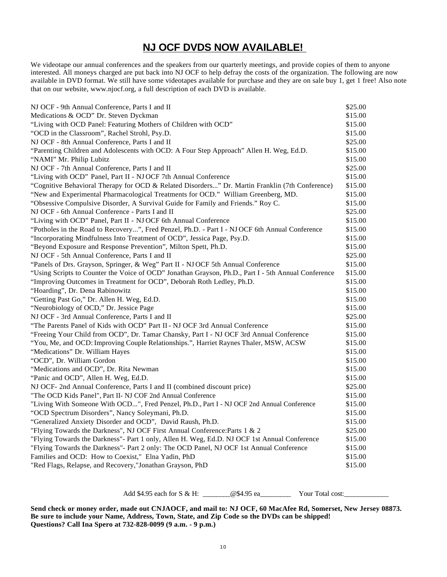# **NJ OCF DVDS NOW AVAILABLE!**

We videotape our annual conferences and the speakers from our quarterly meetings, and provide copies of them to anyone interested. All moneys charged are put back into NJ OCF to help defray the costs of the organization. The following are now available in DVD format. We still have some videotapes available for purchase and they are on sale buy 1, get 1 free! Also note that on our website, www.njocf.org, a full description of each DVD is available.

| NJ OCF - 9th Annual Conference, Parts I and II                                                      | \$25.00 |
|-----------------------------------------------------------------------------------------------------|---------|
| Medications & OCD" Dr. Steven Dyckman                                                               | \$15.00 |
| "Living with OCD Panel: Featuring Mothers of Children with OCD"                                     |         |
| "OCD in the Classroom", Rachel Strohl, Psy.D.                                                       | \$15.00 |
| NJ OCF - 8th Annual Conference, Parts I and II                                                      | \$25.00 |
| "Parenting Children and Adolescents with OCD: A Four Step Approach" Allen H. Weg, Ed.D.             | \$15.00 |
| "NAMI" Mr. Philip Lubitz                                                                            | \$15.00 |
| NJ OCF - 7th Annual Conference, Parts I and II                                                      | \$25.00 |
| "Living with OCD" Panel, Part II - NJ OCF 7th Annual Conference                                     | \$15.00 |
| "Cognitive Behavioral Therapy for OCD & Related Disorders" Dr. Martin Franklin (7th Conference)     | \$15.00 |
| "New and Experimental Pharmacological Treatments for OCD." William Greenberg, MD.                   | \$15.00 |
| "Obsessive Compulsive Disorder, A Survival Guide for Family and Friends." Roy C.                    | \$15.00 |
| NJ OCF - 6th Annual Conference - Parts I and II                                                     | \$25.00 |
| "Living with OCD" Panel, Part II - NJ OCF 6th Annual Conference                                     | \$15.00 |
| "Potholes in the Road to Recovery", Fred Penzel, Ph.D. - Part I - NJ OCF 6th Annual Conference      | \$15.00 |
| "Incorporating Mindfulness Into Treatment of OCD", Jessica Page, Psy.D.                             | \$15.00 |
| "Beyond Exposure and Response Prevention", Milton Spett, Ph.D.                                      | \$15.00 |
| NJ OCF - 5th Annual Conference, Parts I and II                                                      | \$25.00 |
| "Panels of Drs. Grayson, Springer, & Weg" Part II - NJ OCF 5th Annual Conference                    | \$15.00 |
| "Using Scripts to Counter the Voice of OCD" Jonathan Grayson, Ph.D., Part I - 5th Annual Conference | \$15.00 |
| "Improving Outcomes in Treatment for OCD", Deborah Roth Ledley, Ph.D.                               | \$15.00 |
| "Hoarding", Dr. Dena Rabinowitz                                                                     | \$15.00 |
| "Getting Past Go," Dr. Allen H. Weg, Ed.D.                                                          | \$15.00 |
| "Neurobiology of OCD," Dr. Jessice Page                                                             | \$15.00 |
| NJ OCF - 3rd Annual Conference, Parts I and II                                                      | \$25.00 |
| "The Parents Panel of Kids with OCD" Part II - NJ OCF 3rd Annual Conference                         | \$15.00 |
| "Freeing Your Child from OCD", Dr. Tamar Chansky, Part I - NJ OCF 3rd Annual Conference             |         |
| "You, Me, and OCD: Improving Couple Relationships.", Harriet Raynes Thaler, MSW, ACSW               |         |
| "Medications" Dr. William Hayes                                                                     |         |
| "OCD", Dr. William Gordon                                                                           | \$15.00 |
| "Medications and OCD", Dr. Rita Newman                                                              | \$15.00 |
| "Panic and OCD", Allen H. Weg, Ed.D.                                                                | \$15.00 |
| NJ OCF- 2nd Annual Conference, Parts I and II (combined discount price)                             | \$25.00 |
| "The OCD Kids Panel", Part II- NJ COF 2nd Annual Conference                                         | \$15.00 |
| "Living With Someone With OCD", Fred Penzel, Ph.D., Part I - NJ OCF 2nd Annual Conference           | \$15.00 |
| "OCD Spectrum Disorders", Nancy Soleymani, Ph.D.                                                    |         |
| "Generalized Anxiety Disorder and OCD", David Raush, Ph.D.                                          | \$15.00 |
| "Flying Towards the Darkness", NJ OCF First Annual Conference: Parts 1 & 2                          |         |
| "Flying Towards the Darkness"- Part 1 only, Allen H. Weg, Ed.D. NJ OCF 1st Annual Conference        |         |
| "Flying Towards the Darkness"- Part 2 only: The OCD Panel, NJ OCF 1st Annual Conference             |         |
| Families and OCD: How to Coexist," Elna Yadin, PhD                                                  |         |
| "Red Flags, Relapse, and Recovery,"Jonathan Grayson, PhD                                            |         |

Add \$4.95 each for S & H:  $@$4.95$  ea Wour Total cost:

**Send check or money order, made out CNJAOCF, and mail to: NJ OCF, 60 MacAfee Rd, Somerset, New Jersey 08873. Be sure to include your Name, Address, Town, State, and Zip Code so the DVDs can be shipped! Questions? Call Ina Spero at 732-828-0099 (9 a.m. - 9 p.m.)**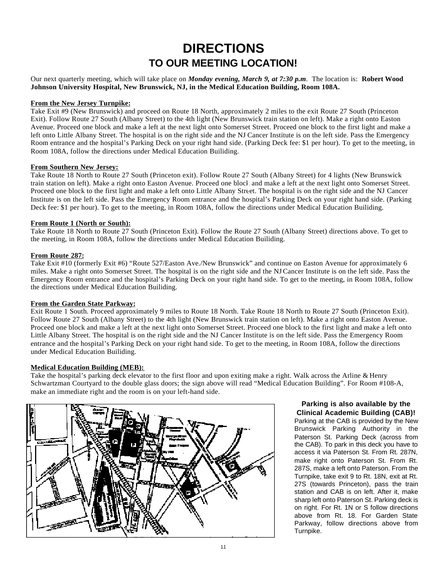# **DIRECTIONS TO OUR MEETING LOCATION!**

Our next quarterly meeting, which will take place on *Monday evening, March 9, at 7:30 p.m*. The location is: **Robert Wood Johnson University Hospital, New Brunswick, NJ, in the Medical Education Building, Room 108A.**

#### **From the New Jersey Turnpike:**

Take Exit #9 (New Brunswick) and proceed on Route 18 North, approximately 2 miles to the exit Route 27 South (Princeton Exit). Follow Route 27 South (Albany Street) to the 4th light (New Brunswick train station on left). Make a right onto Easton Avenue. Proceed one block and make a left at the next light onto Somerset Street. Proceed one block to the first light and make a left onto Little Albany Street. The hospital is on the right side and the NJ Cancer Institute is on the left side. Pass the Emergency Room entrance and the hospital's Parking Deck on your right hand side. (Parking Deck fee: \$1 per hour). To get to the meeting, in Room 108A, follow the directions under Medical Education Builiding.

#### **From Southern New Jersey:**

Take Route 18 North to Route 27 South (Princeton exit). Follow Route 27 South (Albany Street) for 4 lights (New Brunswick train station on left). Make a right onto Easton Avenue. Proceed one block and make a left at the next light onto Somerset Street. Proceed one block to the first light and make a left onto Little Albany Street. The hospital is on the right side and the NJ Cancer Institute is on the left side. Pass the Emergency Room entrance and the hospital's Parking Deck on your right hand side. (Parking Deck fee: \$1 per hour). To get to the meeting, in Room 108A, follow the directions under Medical Education Builiding.

#### **From Route 1 (North or South):**

Take Route 18 North to Route 27 South (Princeton Exit). Follow the Route 27 South (Albany Street) directions above. To get to the meeting, in Room 108A, follow the directions under Medical Education Builiding.

#### **From Route 287:**

Take Exit #10 (formerly Exit #6) "Route 527/Easton Ave./New Brunswick" and continue on Easton Avenue for approximately 6 miles. Make a right onto Somerset Street. The hospital is on the right side and the NJCancer Institute is on the left side. Pass the Emergency Room entrance and the hospital's Parking Deck on your right hand side. To get to the meeting, in Room 108A, follow the directions under Medical Education Builiding.

#### **From the Garden State Parkway:**

Exit Route 1 South. Proceed approximately 9 miles to Route 18 North. Take Route 18 North to Route 27 South (Princeton Exit). Follow Route 27 South (Albany Street) to the 4th light (New Brunswick train station on left). Make a right onto Easton Avenue. Proceed one block and make a left at the next light onto Somerset Street. Proceed one block to the first light and make a left onto Little Albany Street. The hospital is on the right side and the NJ Cancer Institute is on the left side. Pass the Emergency Room entrance and the hospital's Parking Deck on your right hand side. To get to the meeting, in Room 108A, follow the directions under Medical Education Builiding.

#### **Medical Education Building (MEB):**

Take the hospital's parking deck elevator to the first floor and upon exiting make a right. Walk across the Arline & Henry Schwartzman Courtyard to the double glass doors; the sign above will read "Medical Education Building". For Room #108-A, make an immediate right and the room is on your left-hand side.



#### **Parking is also available by the Clinical Academic Building (CAB)!**

Parking at the CAB is provided by the New Brunswick Parking Authority in the Paterson St. Parking Deck (across from the CAB). To park in this deck you have to access it via Paterson St. From Rt. 287N, make right onto Paterson St. From Rt. 287S, make a left onto Paterson. From the Turnpike, take exit 9 to Rt. 18N, exit at Rt. 27S (towards Princeton), pass the train station and CAB is on left. After it, make sharp left onto Paterson St. Parking deck is on right. For Rt. 1N or S follow directions above from Rt. 18. For Garden State Parkway, follow directions above from Turnpike.